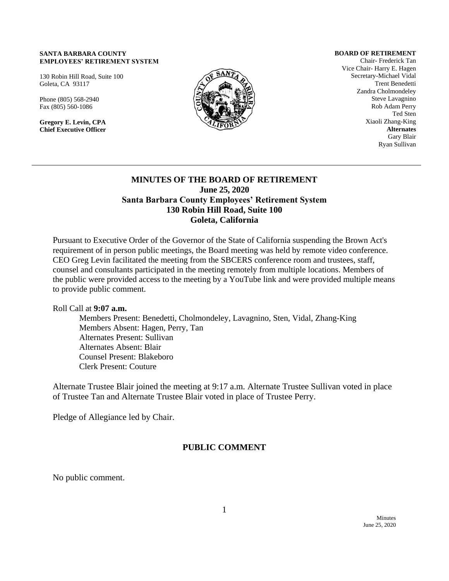#### **SANTA BARBARA COUNTY EMPLOYEES' RETIREMENT SYSTEM**

130 Robin Hill Road, Suite 100 Goleta, CA 93117

Phone (805) 568-2940 Fax (805) 560-1086

**Gregory E. Levin, CPA Chief Executive Officer**



**BOARD OF RETIREMENT**

Chair- Frederick Tan Vice Chair- Harry E. Hagen Secretary-Michael Vidal Trent Benedetti Zandra Cholmondeley Steve Lavagnino Rob Adam Perry Ted Sten Xiaoli Zhang-King **Alternates** Gary Blair Ryan Sullivan

### **MINUTES OF THE BOARD OF RETIREMENT June 25, 2020 Santa Barbara County Employees' Retirement System 130 Robin Hill Road, Suite 100 Goleta, California**

Pursuant to Executive Order of the Governor of the State of California suspending the Brown Act's requirement of in person public meetings, the Board meeting was held by remote video conference. CEO Greg Levin facilitated the meeting from the SBCERS conference room and trustees, staff, counsel and consultants participated in the meeting remotely from multiple locations. Members of the public were provided access to the meeting by a YouTube link and were provided multiple means to provide public comment.

Roll Call at **9:07 a.m.** 

Members Present: Benedetti, Cholmondeley, Lavagnino, Sten, Vidal, Zhang-King Members Absent: Hagen, Perry, Tan Alternates Present: Sullivan Alternates Absent: Blair Counsel Present: Blakeboro Clerk Present: Couture

Alternate Trustee Blair joined the meeting at 9:17 a.m. Alternate Trustee Sullivan voted in place of Trustee Tan and Alternate Trustee Blair voted in place of Trustee Perry.

Pledge of Allegiance led by Chair.

## **PUBLIC COMMENT**

No public comment.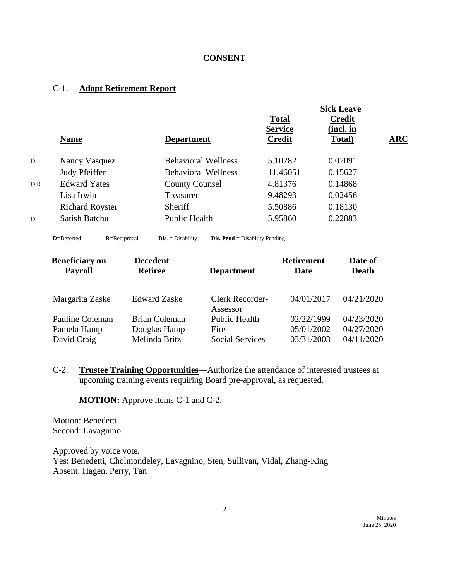## **CONSENT**

### C-1. **Adopt Retirement Report**

|                |                        |                            | <b>Sick Leave</b>                               |                                      |            |
|----------------|------------------------|----------------------------|-------------------------------------------------|--------------------------------------|------------|
|                | <b>Name</b>            | <b>Department</b>          | <b>Total</b><br><b>Service</b><br><b>Credit</b> | <b>Credit</b><br>(incl. in<br>Total) | <b>ARC</b> |
| D              | Nancy Vasquez          | <b>Behavioral Wellness</b> | 5.10282                                         | 0.07091                              |            |
|                | Judy Pfeiffer          | <b>Behavioral Wellness</b> | 11.46051                                        | 0.15627                              |            |
| D <sub>R</sub> | <b>Edward Yates</b>    | <b>County Counsel</b>      | 4.81376                                         | 0.14868                              |            |
|                | Lisa Irwin             | Treasurer                  | 9.48293                                         | 0.02456                              |            |
|                | <b>Richard Royster</b> | Sheriff                    | 5.50886                                         | 0.18130                              |            |
| D              | Satish Batchu          | Public Health              | 5.95860                                         | 0.22883                              |            |

**D**=Deferred **R**=Reciprocal **Dis**. = Disability **Dis. Pend** = Disability Pending

| <b>Beneficiary on</b> | <b>Decedent</b>      |                                    | <b>Retirement</b> | Date of      |
|-----------------------|----------------------|------------------------------------|-------------------|--------------|
| <b>Payroll</b>        | <b>Retiree</b>       | <b>Department</b>                  | Date              | <b>Death</b> |
|                       |                      |                                    |                   |              |
| Margarita Zaske       | <b>Edward Zaske</b>  | <b>Clerk Recorder-</b><br>Assessor | 04/01/2017        | 04/21/2020   |
| Pauline Coleman       | <b>Brian Coleman</b> | <b>Public Health</b>               | 02/22/1999        | 04/23/2020   |
| Pamela Hamp           | Douglas Hamp         | Fire                               | 05/01/2002        | 04/27/2020   |
| David Craig           | Melinda Britz        | <b>Social Services</b>             | 03/31/2003        | 04/11/2020   |

C-2. **Trustee Training Opportunities**—Authorize the attendance of interested trustees at upcoming training events requiring Board pre-approval, as requested.

**MOTION:** Approve items C-1 and C-2.

Motion: Benedetti Second: Lavagnino

Approved by voice vote. Yes: Benedetti, Cholmondeley, Lavagnino, Sten, Sullivan, Vidal, Zhang-King Absent: Hagen, Perry, Tan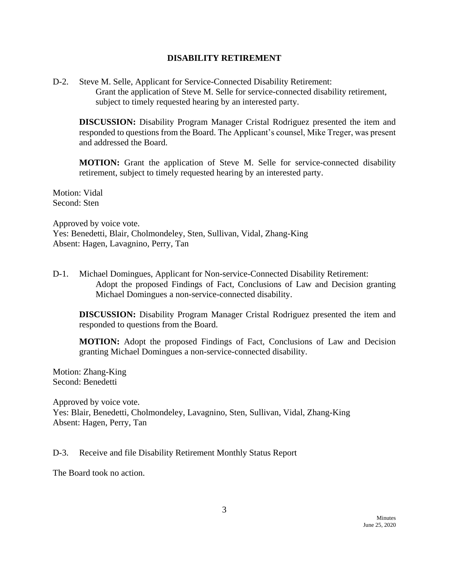#### **DISABILITY RETIREMENT**

D-2. Steve M. Selle, Applicant for Service-Connected Disability Retirement: Grant the application of Steve M. Selle for service-connected disability retirement, subject to timely requested hearing by an interested party.

**DISCUSSION:** Disability Program Manager Cristal Rodriguez presented the item and responded to questions from the Board. The Applicant's counsel, Mike Treger, was present and addressed the Board.

**MOTION:** Grant the application of Steve M. Selle for service-connected disability retirement, subject to timely requested hearing by an interested party.

Motion: Vidal Second: Sten

Approved by voice vote. Yes: Benedetti, Blair, Cholmondeley, Sten, Sullivan, Vidal, Zhang-King Absent: Hagen, Lavagnino, Perry, Tan

D-1. Michael Domingues, Applicant for Non-service-Connected Disability Retirement: Adopt the proposed Findings of Fact, Conclusions of Law and Decision granting Michael Domingues a non-service-connected disability.

**DISCUSSION:** Disability Program Manager Cristal Rodriguez presented the item and responded to questions from the Board.

**MOTION:** Adopt the proposed Findings of Fact, Conclusions of Law and Decision granting Michael Domingues a non-service-connected disability.

Motion: Zhang-King Second: Benedetti

Approved by voice vote. Yes: Blair, Benedetti, Cholmondeley, Lavagnino, Sten, Sullivan, Vidal, Zhang-King Absent: Hagen, Perry, Tan

D-3. Receive and file Disability Retirement Monthly Status Report

The Board took no action.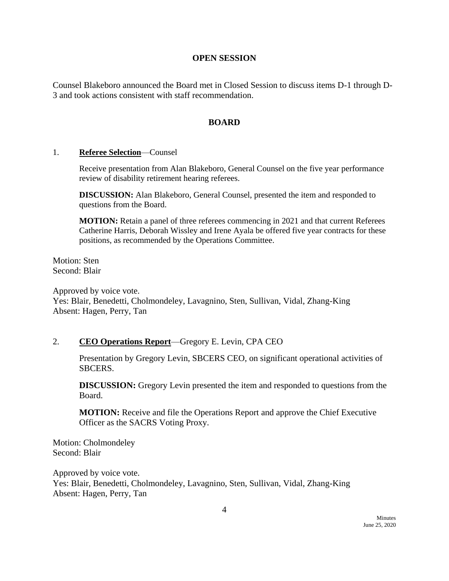#### **OPEN SESSION**

Counsel Blakeboro announced the Board met in Closed Session to discuss items D-1 through D-3 and took actions consistent with staff recommendation.

#### **BOARD**

#### 1. **Referee Selection**—Counsel

Receive presentation from Alan Blakeboro, General Counsel on the five year performance review of disability retirement hearing referees.

**DISCUSSION:** Alan Blakeboro, General Counsel, presented the item and responded to questions from the Board.

**MOTION:** Retain a panel of three referees commencing in 2021 and that current Referees Catherine Harris, Deborah Wissley and Irene Ayala be offered five year contracts for these positions, as recommended by the Operations Committee.

Motion: Sten Second: Blair

Approved by voice vote. Yes: Blair, Benedetti, Cholmondeley, Lavagnino, Sten, Sullivan, Vidal, Zhang-King Absent: Hagen, Perry, Tan

#### 2. **CEO Operations Report**—Gregory E. Levin, CPA CEO

Presentation by Gregory Levin, SBCERS CEO, on significant operational activities of SBCERS.

**DISCUSSION:** Gregory Levin presented the item and responded to questions from the Board.

**MOTION:** Receive and file the Operations Report and approve the Chief Executive Officer as the SACRS Voting Proxy.

Motion: Cholmondeley Second: Blair

Approved by voice vote. Yes: Blair, Benedetti, Cholmondeley, Lavagnino, Sten, Sullivan, Vidal, Zhang-King Absent: Hagen, Perry, Tan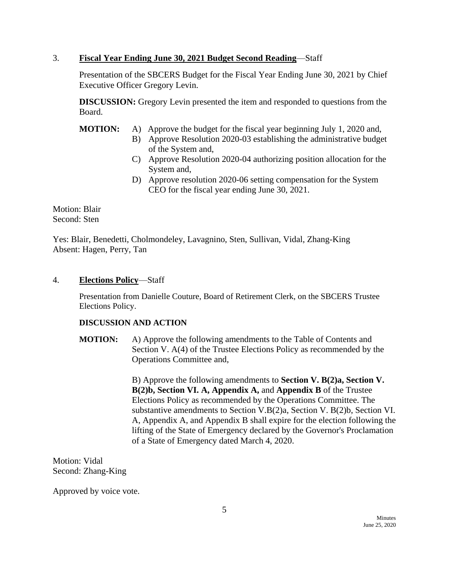## 3. **Fiscal Year Ending June 30, 2021 Budget Second Reading**—Staff

Presentation of the SBCERS Budget for the Fiscal Year Ending June 30, 2021 by Chief Executive Officer Gregory Levin.

**DISCUSSION:** Gregory Levin presented the item and responded to questions from the Board.

**MOTION:** A) Approve the budget for the fiscal year beginning July 1, 2020 and,

- B) Approve Resolution 2020-03 establishing the administrative budget of the System and,
- C) Approve Resolution 2020-04 authorizing position allocation for the System and,
- D) Approve resolution 2020-06 setting compensation for the System CEO for the fiscal year ending June 30, 2021.

Motion: Blair Second: Sten

Yes: Blair, Benedetti, Cholmondeley, Lavagnino, Sten, Sullivan, Vidal, Zhang-King Absent: Hagen, Perry, Tan

## 4. **Elections Policy**—Staff

Presentation from Danielle Couture, Board of Retirement Clerk, on the SBCERS Trustee Elections Policy.

### **DISCUSSION AND ACTION**

**MOTION:** A) Approve the following amendments to the Table of Contents and Section V. A(4) of the Trustee Elections Policy as recommended by the Operations Committee and,

> B) Approve the following amendments to **Section V. B(2)a, Section V. B(2)b, Section VI. A, Appendix A,** and **Appendix B** of the Trustee Elections Policy as recommended by the Operations Committee. The substantive amendments to Section V.B(2)a, Section V. B(2)b, Section VI. A, Appendix A, and Appendix B shall expire for the election following the lifting of the State of Emergency declared by the Governor's Proclamation of a State of Emergency dated March 4, 2020.

Motion: Vidal Second: Zhang-King

Approved by voice vote.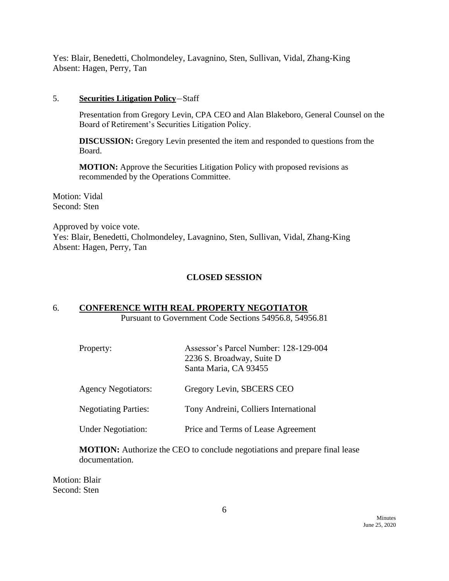Yes: Blair, Benedetti, Cholmondeley, Lavagnino, Sten, Sullivan, Vidal, Zhang-King Absent: Hagen, Perry, Tan

#### 5. **Securities Litigation Policy**—Staff

Presentation from Gregory Levin, CPA CEO and Alan Blakeboro, General Counsel on the Board of Retirement's Securities Litigation Policy.

**DISCUSSION:** Gregory Levin presented the item and responded to questions from the Board.

**MOTION:** Approve the Securities Litigation Policy with proposed revisions as recommended by the Operations Committee.

Motion: Vidal Second: Sten

Approved by voice vote. Yes: Blair, Benedetti, Cholmondeley, Lavagnino, Sten, Sullivan, Vidal, Zhang-King Absent: Hagen, Perry, Tan

### **CLOSED SESSION**

## 6. **CONFERENCE WITH REAL PROPERTY NEGOTIATOR**

Pursuant to Government Code Sections 54956.8, 54956.81

| Assessor's Parcel Number: 128-129-004<br>2236 S. Broadway, Suite D<br>Santa Maria, CA 93455 |
|---------------------------------------------------------------------------------------------|
| Gregory Levin, SBCERS CEO                                                                   |
| Tony Andreini, Colliers International                                                       |
| Price and Terms of Lease Agreement                                                          |
|                                                                                             |

**MOTION:** Authorize the CEO to conclude negotiations and prepare final lease documentation.

Motion: Blair Second: Sten